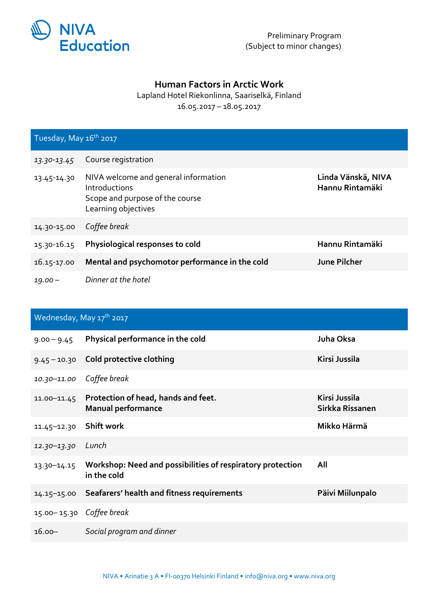

## **Human Factors in Arctic Work**

## Lapland Hotel Riekonlinna, Saariselkä, Finland 16.05.2017 – 18.05.2017

| Tuesday, May 16 <sup>th</sup> 2017 |                                                                                                                 |                                       |  |  |
|------------------------------------|-----------------------------------------------------------------------------------------------------------------|---------------------------------------|--|--|
| 13.30-13.45                        | Course registration                                                                                             |                                       |  |  |
| 13.45-14.30                        | NIVA welcome and general information<br>Introductions<br>Scope and purpose of the course<br>Learning objectives | Linda Vänskä, NIVA<br>Hannu Rintamäki |  |  |
| 14.30-15.00                        | Coffee break                                                                                                    |                                       |  |  |
| 15.30-16.15                        | Physiological responses to cold                                                                                 | Hannu Rintamäki                       |  |  |
| 16.15-17.00                        | Mental and psychomotor performance in the cold                                                                  | <b>June Pilcher</b>                   |  |  |
| $19.00 -$                          | Dinner at the hotel                                                                                             |                                       |  |  |

## Wednesday, May 17<sup>th</sup> 2017

| $9.00 - 9.45$            | Physical performance in the cold                                          | Juha Oksa                        |
|--------------------------|---------------------------------------------------------------------------|----------------------------------|
| $9.45 - 10.30$           | Cold protective clothing                                                  | Kirsi Jussila                    |
| $10.30 - 11.00$          | Coffee break                                                              |                                  |
| 11.00-11.45              | Protection of head, hands and feet.<br><b>Manual performance</b>          | Kirsi Jussila<br>Sirkka Rissanen |
| $11.45 - 12.30$          | Shift work                                                                | Mikko Härmä                      |
| 12.30-13.30              | Lunch                                                                     |                                  |
| 13.30-14.15              | Workshop: Need and possibilities of respiratory protection<br>in the cold | All                              |
| $14.15 - 15.00$          | Seafarers' health and fitness requirements                                | Päivi Miilunpalo                 |
| 15.00-15.30 Coffee break |                                                                           |                                  |
| $16.00 -$                | Social program and dinner                                                 |                                  |